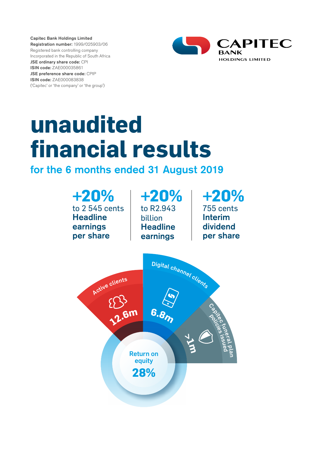Capitec Bank Holdings Limited Registration number: 1999/025903/06 Registered bank controlling company Incorporated in the Republic of South Africa JSE ordinary share code: CPI ISIN code: ZAE000035861 JSE preference share code: CPIP ISIN code: ZAE000083838 ('Capitec' or 'the company' or 'the group')



# **unaudited financial results**

# for the 6 months ended 31 August 2019

| $+20%$               | $+20%$                                                               | $+20%$             |
|----------------------|----------------------------------------------------------------------|--------------------|
| to 2 545 cents       | to R2.943                                                            | 755 cents          |
| <b>Headline</b>      | billion                                                              | <b>Interim</b>     |
| earnings             | <b>Headline</b>                                                      | dividend           |
| per share            | earnings                                                             | per share          |
| Active clients<br>Gm | Digital channel clients<br>6.87<br><b>Return on</b><br>equity<br>28% | Capitolicies issue |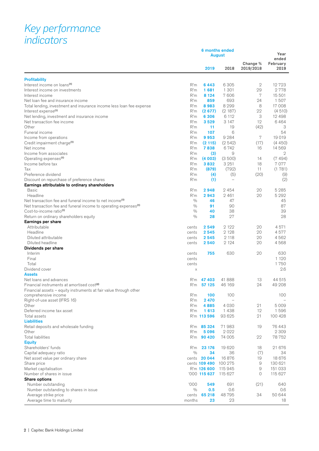# *Key performance indicators*

|                                                                                           | 6 months ended<br>August |                |                          |                       | Year<br>ended    |
|-------------------------------------------------------------------------------------------|--------------------------|----------------|--------------------------|-----------------------|------------------|
|                                                                                           |                          | 2019           | 2018                     | Change %<br>2019/2018 | February<br>2019 |
| <b>Profitability</b>                                                                      |                          |                |                          |                       |                  |
| Interest income on loans <sup>(1)</sup>                                                   | R'm                      | 6443           | 6 3 0 5                  | $\mathbf{2}$          | 12723            |
| Interest income on investments                                                            | R'm                      | 1681           | 1 301                    | 29                    | 2778             |
| Interest income                                                                           | R'm                      | 8 1 2 4        | 7606                     | 7                     | 15 501           |
| Net loan fee and insurance income                                                         | R'm                      | 859            | 693                      | 24                    | 1507             |
| Total lending, investment and insurance income less loan fee expense                      | R'm                      | 8983           | 8 2 9 9                  | 8                     | 17 008           |
| Interest expense <sup>(1)</sup>                                                           | R'm                      | (2677)         | (2187)                   | 22                    | (4510)           |
| Net lending, investment and insurance income                                              | R'm                      | 6 3 0 6        | 6 112                    | 3                     | 12 4 9 8         |
| Net transaction fee income                                                                | R'm                      | 3529           | 3 147                    | 12                    | 6464             |
| Other                                                                                     | R'm                      | 11             | 19                       | (42)                  | 3                |
| Funeral income                                                                            | R'm                      | 107            | 6                        |                       | 54               |
| Income from operations                                                                    | R'm                      | 9953           | 9 2 8 4                  | 7                     | 19019            |
| Credit impairment charge <sup>(1)</sup>                                                   | R'm                      | (2115)         | (2542)                   | (17)                  | (4450)           |
| Net income                                                                                | R'm                      | 7838           | 6742                     | 16                    | 14 5 6 9         |
| Income from associates<br>Operating expenses <sup>(1)</sup>                               | R'm                      | (3)            | 9                        |                       | 2<br>(7494)      |
| Income before tax                                                                         | R'm<br>R'm               | (4003)<br>3832 | (3500)<br>3 2 5 1        | 14<br>18              | 7077             |
| Tax                                                                                       | R'm                      | (879)          | (792)                    | 11                    | (1781)           |
| Preference dividend                                                                       | R'm                      | (4)            | (5)                      | (20)                  | (9)              |
| Discount on repurchase of preference shares                                               | R'm                      | (1)            | $\overline{\phantom{m}}$ |                       | (2)              |
| Earnings attributable to ordinary shareholders                                            |                          |                |                          |                       |                  |
| <b>Basic</b>                                                                              | R'm                      | 2948           | 2454                     | 20                    | 5 2 8 5          |
| Headline                                                                                  | R'm                      | 2943           | 2 4 6 1                  | 20                    | 5 2 9 2          |
| Net transaction fee and funeral income to net income <sup>(1)</sup>                       | $\frac{0}{0}$            | 46             | 47                       |                       | 45               |
| Net transaction fee and funeral income to operating expenses <sup>(1)</sup>               | $\frac{0}{0}$            | 91             | 90                       |                       | 87               |
| Cost-to-income ratio <sup>(1)</sup>                                                       | $\frac{0}{0}$            | 40             | 38                       |                       | 39               |
| Return on ordinary shareholders equity                                                    | $\frac{0}{0}$            | 28             | 27                       |                       | 28               |
| Earnings per share                                                                        |                          |                |                          |                       |                  |
| Attributable                                                                              | cents                    | 2 5 4 9        | 2 1 2 2                  | 20                    | 4571             |
| Headline                                                                                  | cents                    | 2545           | 2 1 2 8                  | 20                    | 4577             |
| Diluted attributable                                                                      | cents                    | 2545           | 2 1 1 8                  | 20                    | 4562             |
| Diluted headline                                                                          | cents                    | 2540           | 2 1 2 4                  | 20                    | 4568             |
| Dividends per share                                                                       |                          |                |                          |                       |                  |
| Interim                                                                                   | cents                    | 755            | 630                      | 20                    | 630              |
| Final                                                                                     | cents                    |                |                          |                       | 1 1 2 0          |
| Total                                                                                     | cents                    |                |                          |                       | 1750             |
| Dividend cover                                                                            | X                        |                |                          |                       | 2.6              |
| <b>Assets</b>                                                                             |                          |                |                          |                       |                  |
| Net loans and advances                                                                    |                          | R'm 47 403     | 41888                    | 13                    | 44 515           |
| Financial instruments at amortised cost <sup>(2)</sup>                                    | R'm                      | 57 125         | 46 169                   | 24                    | 49 208           |
| Financial assets - equity instruments at fair value through other<br>comprehensive income | R'm                      | 100            | 100                      |                       | 100              |
| Right-of-use asset (IFRS 16)                                                              | R'm                      | 2 4 7 0        |                          |                       |                  |
| Other                                                                                     | R'm                      | 4885           | 4 0 3 0                  | 21                    | 5009             |
| Deferred income tax asset                                                                 | R'm                      | 1613           | 1438                     | 12                    | 1596             |
| Total assets                                                                              |                          | R'm 113 596    | 93 625                   | 21                    | 100 428          |
| <b>Liabilities</b>                                                                        |                          |                |                          |                       |                  |
| Retail deposits and wholesale funding                                                     |                          | R'm 85 324     | 71983                    | 19                    | 76443            |
| Other                                                                                     | R'm                      | 5096           | 2022                     |                       | 2 3 0 9          |
| <b>Total liabilities</b>                                                                  | R'm                      | 90 4 20        | 74 005                   | 22                    | 78 752           |
| <b>Equity</b>                                                                             |                          |                |                          |                       |                  |
| Shareholders' funds                                                                       | R'm                      | 23 176         | 19620                    | 18                    | 21 676           |
| Capital adequacy ratio                                                                    | $\frac{0}{0}$            | 34             | 36                       | (7)                   | 34               |
| Net asset value per ordinary share                                                        |                          | cents 20 044   | 16876                    | 19                    | 18 676           |
| Share price                                                                               |                          | cents 109 490  | 100 275                  | 9                     | 130 621          |
| Market capitalisation                                                                     |                          | R'm 126 600    | 115 945                  | 9                     | 151 033          |
| Number of shares in issue                                                                 |                          | '000 115 627   | 115 627                  | $\circ$               | 115 627          |
| Share options                                                                             |                          |                |                          |                       |                  |
| Number outstanding                                                                        | '000                     | 549            | 691                      | (21)                  | 640              |
| Number outstanding to shares in issue                                                     | $\frac{0}{0}$            | 0.5            | 0.6                      |                       | 0.6              |
| Average strike price                                                                      | cents                    | 65 218         | 48795                    | 34                    | 50 644           |
| Average time to maturity                                                                  | months                   | 23             | 23                       |                       | 18               |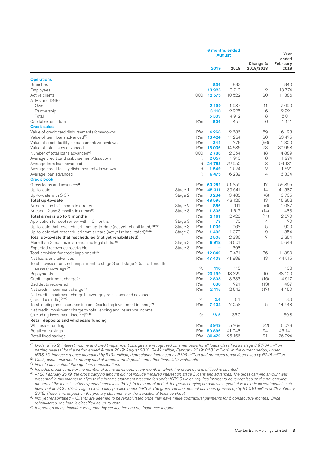|                                                                                                    |         |               | <b>6 months ended</b><br>August |          |                       | Year<br>ended    |
|----------------------------------------------------------------------------------------------------|---------|---------------|---------------------------------|----------|-----------------------|------------------|
|                                                                                                    |         |               | 2019                            | 2018     | Change %<br>2019/2018 | February<br>2019 |
| <b>Operations</b>                                                                                  |         |               |                                 |          |                       |                  |
| <b>Branches</b>                                                                                    |         |               | 834                             | 832      |                       | 840              |
| Employees                                                                                          |         |               | 13923                           | 13710    | 2                     | 13774            |
| Active clients                                                                                     |         | '000'         | 12 575                          | 10 522   | 20                    | 11 386           |
| ATMs and DNRs                                                                                      |         |               |                                 |          |                       |                  |
| Own                                                                                                |         |               | 2 199                           | 1987     | 11                    | 2090             |
| Partnership                                                                                        |         |               | 3 1 1 0                         | 2925     | 6                     | 2921             |
| Total                                                                                              |         |               | 5 3 0 9                         | 4912     | 8                     | 5011             |
| Capital expenditure                                                                                |         | R'm           | 804                             | 457      | 76                    | 1 141            |
| <b>Credit sales</b>                                                                                |         |               |                                 |          |                       |                  |
| Value of credit card disbursements/drawdowns                                                       |         | R'm           | 4 2 6 8                         | 2686     | 59                    | 6 193            |
| Value of term loans advanced <sup>(3)</sup>                                                        |         | R'm           | 13 4 24                         | 11 2 2 4 | 20                    | 23 475           |
|                                                                                                    |         | R'm           | 344                             | 776      |                       | 1 300            |
| Value of credit facility disbursements/drawdowns                                                   |         |               |                                 |          | (56)                  |                  |
| Value of total loans advanced                                                                      |         | R'm           | 18 036                          | 14 686   | 23                    | 30 968           |
| Number of total loans advanced <sup>(4)</sup>                                                      |         | '000'         | 2786                            | 2 3 5 4  | 18                    | 4889             |
| Average credit card disbursement/drawdown                                                          |         | R             | 2057                            | 1910     | 8                     | 1974             |
| Average term loan advanced                                                                         |         | R             | 24 753                          | 22950    | 8                     | 26 181           |
| Average credit facility disbursement/drawdown                                                      |         | R             | 1549                            | 1 5 2 4  | $\mathbf{2}$          | 1 5 2 1          |
| Average loan advanced                                                                              |         | R             | 6475                            | 6 2 3 9  | 4                     | 6334             |
| <b>Credit book</b>                                                                                 |         |               |                                 |          |                       |                  |
| Gross loans and advances <sup>(5)</sup>                                                            |         | R'm           | 60 252                          | 51 359   | 17                    | 55 895           |
| Up-to-date                                                                                         | Stage 1 | R'm           | 45 311                          | 39 641   | 14                    | 41 587           |
| Up-to-date with SICR                                                                               | Stage 2 | R'm           | 3 2 8 4                         | 3 4 8 5  | (6)                   | 3765             |
| Total up-to-date                                                                                   |         | R'm           | 48 595                          | 43 126   | 13                    | 45 352           |
| Arrears - up to 1 month in arrears                                                                 | Stage 2 | R'm           | 856                             | 911      | (6)                   | 1 0 8 7          |
| Arrears $-2$ and 3 months in arrears <sup>(5)</sup>                                                | Stage 3 | R'm           | 1 3 0 5                         | 1 517    | (14)                  | 1483             |
| Total arrears up to 3 months                                                                       |         | R'm           | 2 161                           | 2428     | (11)                  | 2570             |
| Application for debt review within 6 months                                                        | Stage 3 | R'm           | 73                              | 70       | 4                     | 70               |
| Up-to-date that rescheduled from up-to-date (not yet rehabilitated) $(5)$ (6)                      | Stage 3 | R'm           | 1009                            | 963      | 5                     | 900              |
| Up-to-date that rescheduled from arrears (not yet rehabilitated) <sup>(5)</sup> <sup>(6)</sup>     | Stage 3 | R'm           | 1496                            | 1 3 7 3  | 9                     | 1 3 5 4          |
| Total up-to-date that rescheduled (not yet rehabilitated)                                          |         | R'm           | 2505                            | 2 3 3 6  | 7                     | 2 2 5 4          |
| More than 3 months in arrears and legal status <sup>(5)</sup>                                      | Stage 3 | R'm           | 6918                            | 3 0 0 1  |                       | 5649             |
| Expected recoveries receivable                                                                     | Stage 3 | R'm           | ۰                               | 398      |                       |                  |
| Total provision for credit impairment <sup>(5)</sup>                                               |         | R'm           | 12849                           | 9 4 7 1  | 36                    | 11 380           |
| Net loans and advances                                                                             |         | R'm           | 47 403                          | 41 888   | 13                    | 44 515           |
| Total provision for credit impairment to stage 3 and stage 2 (up to 1 month                        |         |               |                                 |          |                       |                  |
| in arrears) coverage <sup>(5)</sup>                                                                |         | 0/0           | 110                             | 115      |                       | 108              |
| Repayments                                                                                         |         | R'm           | 20 199                          | 18 322   | 10                    | 38 100           |
| Credit impairment charge <sup>(1)</sup>                                                            |         | R'm           | 2803                            | 3 3 3 3  | (16)                  | 4917             |
| Bad debts recovered                                                                                |         | R'm           | 688                             | 791      | (13)                  | 467              |
| Net credit impairment charge <sup>(1)</sup>                                                        |         | R'm           | 2 115                           | 2542     | (17)                  | 4 450            |
| Net credit impairment charge to average gross loans and advances<br>$(credit loss ratio)^{(1)(5)}$ |         | 0/0           | 3.6                             | 5.1      |                       | 8.6              |
| Total lending and insurance income (excluding investment income) <sup>(7)</sup>                    |         | R'm           | 7432                            | 7053     | 5                     | 14 4 4 8         |
| Net credit impairment charge to total lending and insurance income                                 |         |               |                                 |          |                       |                  |
| (excluding investment income)(1) (7)                                                               |         | $\frac{0}{0}$ | 28.5                            | 36.0     |                       | 30.8             |
| Retail deposits and wholesale funding                                                              |         |               |                                 |          |                       |                  |
| Wholesale funding                                                                                  |         | R'm           | 3949                            | 5769     | (32)                  | 5078             |
| Retail call savings                                                                                |         | R'm           | 50896                           | 41 048   | 24                    | 45 141           |
| Retail fixed savings                                                                               |         | R'm           | 30 479                          | 25 166   | 21                    | 26 224           |

*(1) Under IFRS 9, interest income and credit impairment charges are recognised on a net basis for all loans classified as stage 3 (R764 million netting reversal for the period ended August 2019; August 2018: R442 million; February 2019: R631 million). In the current period, under IFRS 16, interest expense increased by R134 million, depreciation increased by R199 million and premises rental decreased by R245 million*

*(2) Cash, cash equivalents, money market funds, term deposits and other financial investments*

*(3) Net of loans settled through loan consolidations*

*(4) Includes credit card. For the number of loans advanced, every month in which the credit card is utilised is counted*

*(5) At 28 February 2019, the gross carrying amount did not include impaired interest on stage 3 loans and advances. The gross carrying amount was presented in this manner to align to the income statement presentation under IFRS 9 which requires interest to be recognised on the net carrying amount of the loan, i.e. after expected credit loss (ECL). In the current period, the gross carrying amount was updated to include all contractual cash flows before ECL. This is aligned to industry practice under IFRS 9. The gross carrying amount has been grossed up by R1 016 million at 28 February 2019. There is no impact on the primary statements or the transitional balance sheet*

*(6) Not yet rehabilitated – Clients are deemed to be rehabilitated once they have made contractual payments for 6 consecutive months. Once rehabilitated, the loan is classified as up-to-date*

*(7) Interest on loans, initiation fees, monthly service fee and net insurance income*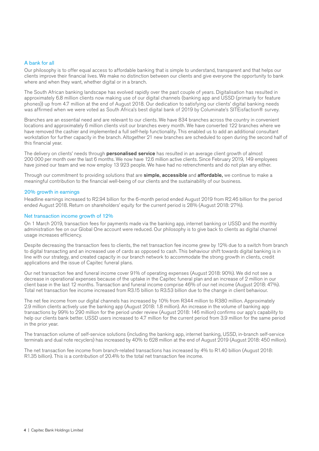#### A bank for all

Our philosophy is to offer equal access to affordable banking that is simple to understand, transparent and that helps our clients improve their financial lives. We make no distinction between our clients and give everyone the opportunity to bank where and when they want, whether digital or in a branch.

The South African banking landscape has evolved rapidly over the past couple of years. Digitalisation has resulted in approximately 6.8 million clients now making use of our digital channels (banking app and USSD (primarily for feature phones)) up from 4.7 million at the end of August 2018. Our dedication to satisfying our clients' digital banking needs was affirmed when we were voted as South Africa's best digital bank of 2019 by Columinate's SITEisfaction® survey.

Branches are an essential need and are relevant to our clients. We have 834 branches across the country in convenient locations and approximately 6 million clients visit our branches every month. We have converted 122 branches where we have removed the cashier and implemented a full self-help functionality. This enabled us to add an additional consultant workstation for further capacity in the branch. Altogether 21 new branches are scheduled to open during the second half of this financial year.

The delivery on clients' needs through **personalised service** has resulted in an average client growth of almost 200 000 per month over the last 6 months. We now have 12.6 million active clients. Since February 2019, 149 employees have joined our team and we now employ 13 923 people. We have had no retrenchments and do not plan any either.

Through our commitment to providing solutions that are simple, accessible and affordable, we continue to make a meaningful contribution to the financial well-being of our clients and the sustainability of our business.

#### 20% growth in earnings

Headline earnings increased to R2.94 billion for the 6-month period ended August 2019 from R2.46 billion for the period ended August 2018. Return on shareholders' equity for the current period is 28% (August 2018: 27%).

#### Net transaction income growth of 12%

On 1 March 2019, transaction fees for payments made via the banking app, internet banking or USSD and the monthly administration fee on our Global One account were reduced. Our philosophy is to give back to clients as digital channel usage increases efficiency.

Despite decreasing the transaction fees to clients, the net transaction fee income grew by 12% due to a switch from branch to digital transacting and an increased use of cards as opposed to cash. This behaviour shift towards digital banking is in line with our strategy, and created capacity in our branch network to accommodate the strong growth in clients, credit applications and the issue of Capitec funeral plans.

Our net transaction fee and funeral income cover 91% of operating expenses (August 2018: 90%). We did not see a decrease in operational expenses because of the uptake in the Capitec funeral plan and an increase of 2 million in our client base in the last 12 months. Transaction and funeral income comprise 46% of our net income (August 2018: 47%). Total net transaction fee income increased from R3.15 billion to R3.53 billion due to the change in client behaviour.

The net fee income from our digital channels has increased by 10% from R344 million to R380 million. Approximately 2.9 million clients actively use the banking app (August 2018: 1.8 million). An increase in the volume of banking app transactions by 99% to 290 million for the period under review (August 2018: 146 million) confirms our app's capability to help our clients bank better. USSD users increased to 4.7 million for the current period from 3.9 million for the same period in the prior year.

The transaction volume of self-service solutions (including the banking app, internet banking, USSD, in-branch self-service terminals and dual note recyclers) has increased by 40% to 628 million at the end of August 2019 (August 2018: 450 million).

The net transaction fee income from branch-related transactions has increased by 4% to R1.40 billion (August 2018: R1.35 billion). This is a contribution of 20.4% to the total net transaction fee income.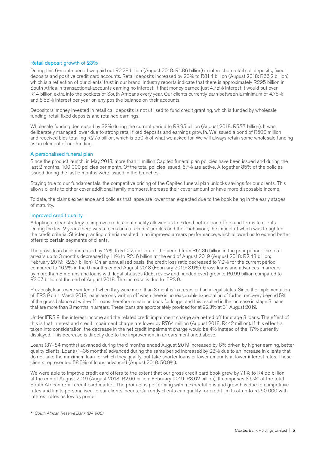#### Retail deposit growth of 23%

During this 6-month period we paid out R2.28 billion (August 2018: R1.86 billion) in interest on retail call deposits, fixed deposits and positive credit card accounts. Retail deposits increased by 23% to R81.4 billion (August 2018: R66.2 billion) which is a reflection of our clients' trust in our brand. Industry reports indicate that there is approximately R295 billion in South Africa in transactional accounts earning no interest. If that money earned just 4.75% interest it would put over R14 billion extra into the pockets of South Africans every year. Our clients currently earn between a minimum of 4.75% and 8.55% interest per year on any positive balance on their accounts.

Depositors' money invested in retail call deposits is not utilised to fund credit granting, which is funded by wholesale funding, retail fixed deposits and retained earnings.

Wholesale funding decreased by 32% during the current period to R3.95 billion (August 2018: R5.77 billion). It was deliberately managed lower due to strong retail fixed deposits and earnings growth. We issued a bond of R500 million and received bids totalling R2.75 billion, which is 550% of what we asked for. We will always retain some wholesale funding as an element of our funding.

#### A personalised funeral plan

Since the product launch, in May 2018, more than 1 million Capitec funeral plan policies have been issued and during the last 2 months, 100 000 policies per month. Of the total policies issued, 67% are active. Altogether 85% of the policies issued during the last 6 months were issued in the branches.

Staying true to our fundamentals, the competitive pricing of the Capitec funeral plan unlocks savings for our clients. This allows clients to either cover additional family members, increase their cover amount or have more disposable income.

To date, the claims experience and policies that lapse are lower than expected due to the book being in the early stages of maturity.

#### Improved credit quality

Adopting a clear strategy to improve credit client quality allowed us to extend better loan offers and terms to clients. During the last 2 years there was a focus on our clients' profiles and their behaviour, the impact of which was to tighten the credit criteria. Stricter granting criteria resulted in an improved arrears performance, which allowed us to extend better offers to certain segments of clients.

The gross loan book increased by 17% to R60.25 billion for the period from R51.36 billion in the prior period. The total arrears up to 3 months decreased by 11% to R2.16 billion at the end of August 2019 (August 2018: R2.43 billion; February 2019: R2.57 billion). On an annualised basis, the credit loss ratio decreased to 7.2% for the current period compared to 10.2% in the 6 months ended August 2018 (February 2019: 8.6%). Gross loans and advances in arrears by more than 3 months and loans with legal statuses (debt review and handed over) grew to R6.99 billion compared to R3.07 billion at the end of August 2018. The increase is due to IFRS 9.

Previously, loans were written off when they were more than 3 months in arrears or had a legal status. Since the implementation of IFRS 9 on 1 March 2018, loans are only written off when there is no reasonable expectation of further recovery beyond 5% of the gross balance at write-off. Loans therefore remain on book for longer and this resulted in the increase in stage 3 loans that are more than 3 months in arrears. These loans are appropriately provided for at 92.3% at 31 August 2019.

Under IFRS 9, the interest income and the related credit impairment charge are netted off for stage 3 loans. The effect of this is that interest and credit impairment charge are lower by R764 million (August 2018: R442 million). If this effect is taken into consideration, the decrease in the net credit impairment charge would be 4% instead of the 17% currently displayed. This decrease is directly due to the improvement in arrears mentioned above.

Loans (37–84 months) advanced during the 6 months ended August 2019 increased by 8% driven by higher earning, better quality clients. Loans (1–36 months) advanced during the same period increased by 23% due to an increase in clients that do not take the maximum loan for which they qualify, but take shorter loans or lower amounts at lower interest rates. These clients represented 58.5% of loans advanced (August 2018: 50.9%).

We were able to improve credit card offers to the extent that our gross credit card book grew by 71% to R4.55 billion at the end of August 2019 (August 2018: R2.66 billion; February 2019: R3.62 billion). It comprises 3.6%\* of the total South African retail credit card market. The product is performing within expectations and growth is due to competitive rates and limits personalised to our clients' needs. Currently clients can qualify for credit limits of up to R250 000 with interest rates as low as prime.

*\* South African Reserve Bank (BA 900)*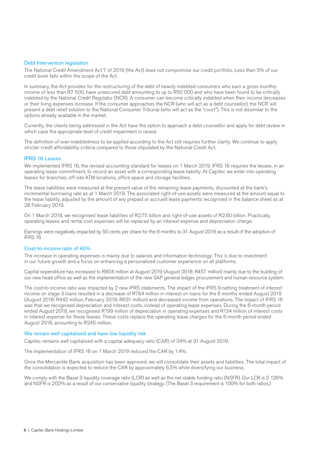#### Debt Intervention legislation

The National Credit Amendment Act 7 of 2019 (the Act) does not compromise our credit portfolio. Less than 5% of our credit book falls within the scope of the Act.

In summary, the Act provides for the restructuring of the debt of heavily indebted consumers who earn a gross monthly income of less than R7 500, have unsecured debt amounting to up to R50 000 and who have been found to be critically indebted by the National Credit Regulator (NCR). A consumer can become critically indebted when their income decreases or their living expenses increase. If the consumer approaches the NCR (who will act as a debt counsellor), the NCR will present a debt relief solution to the National Consumer Tribunal (who will act as the "court"). This is not dissimilar to the options already available in the market.

Currently, the clients being addressed in the Act have the option to approach a debt counsellor and apply for debt review in which case the appropriate level of credit impairment is raised.

The definition of over-indebtedness to be applied according to the Act still requires further clarity. We continue to apply stricter credit affordability criteria compared to those stipulated by the National Credit Act.

#### IFRS 16 *Leases*

We implemented IFRS 16, the revised accounting standard for leases on 1 March 2019. IFRS 16 requires the lessee, in an operating lease commitment, to record an asset with a corresponding lease liability. At Capitec we enter into operating leases for branches, off-site ATM locations, office space and storage facilities.

The lease liabilities were measured at the present value of the remaining lease payments, discounted at the bank's incremental borrowing rate as at 1 March 2019. The associated right-of-use assets were measured at the amount equal to the lease liability, adjusted by the amount of any prepaid or accrued lease payments recognised in the balance sheet as at 28 February 2019.

On 1 March 2019, we recognised lease liabilities of R2.75 billion and right-of-use assets of R2.60 billion. Practically, operating leases and rental cost expenses will be replaced by an interest expense and depreciation charge.

Earnings were negatively impacted by 50 cents per share for the 6 months to 31 August 2019 as a result of the adoption of IFRS 16.

#### Cost-to-income ratio of 40%

The increase in operating expenses is mainly due to salaries and information technology. This is due to investment in our future growth and a focus on enhancing a personalised customer experience on all platforms.

Capital expenditure has increased to R804 million at August 2019 (August 2018: R457 million) mainly due to the building of our new head office as well as the implementation of the new SAP general ledger, procurement and human resource system.

The cost-to-income ratio was impacted by 2 new IFRS statements. The impact of the IFRS 9 netting treatment of interest income on stage 3 loans resulted in a decrease of R764 million in interest on loans for the 6 months ended August 2019 (August 2018: R442 million; February 2019: R631 million) and decreased income from operations. The impact of IFRS 16 was that we recognised depreciation and interest costs, instead of operating lease expenses. During the 6-month period ended August 2019, we recognised R199 million of depreciation in operating expenses and R134 million of interest costs in interest expense for these leases. These costs replace the operating lease charges for the 6-month period ended August 2018, amounting to R245 million.

#### We remain well capitalised and have low liquidity risk

Capitec remains well capitalised with a capital adequacy ratio (CAR) of 34% at 31 August 2019.

The implementation of IFRS 16 on 1 March 2019 reduced the CAR by 1.4%.

Once the Mercantile Bank acquisition has been approved, we will consolidate their assets and liabilities. The total impact of the consolidation is expected to reduce the CAR by approximately 6.5% while diversifying our business.

We comply with the Basel 3 liquidity coverage ratio (LCR) as well as the net stable funding ratio (NSFR). Our LCR is 2 126% and NSFR is 202% as a result of our conservative liquidity strategy. (The Basel 3 requirement is 100% for both ratios.)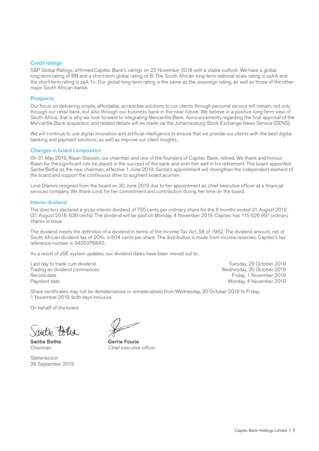#### Credit ratings

S&P Global Ratings, affirmed Capitec Bank's ratings on 22 November 2018 with a stable outlook. We have a global long-term rating of BB and a short-term global rating of B. The South African long-term national scale rating is zaAA and the short-term rating is zaA-1+. Our global long-term rating is the same as the sovereign rating, as well as those of the other major South African banks.

#### **Prospects**

Our focus on delivering simple, affordable, accessible solutions to our clients through personal service will remain, not only through our retail bank, but also through our business bank in the near future. We believe in a positive long-term view of South Africa, that is why we look forward to integrating Mercantile Bank. Announcements regarding the final approval of the Mercantile Bank acquisition and related details will be made via the Johannesburg Stock Exchange News Service (SENS).

We will continue to use digital innovation and artificial intelligence to ensure that we provide our clients with the best digital banking and payment solutions, as well as improve our client insights.

#### Changes in board composition

On 31 May 2019, Riaan Stassen, our chairman and one of the founders of Capitec Bank, retired. We thank and honour Riaan for the significant role he played in the success of the bank and wish him well in his retirement. The board appointed Santie Botha as the new chairman, effective 1 June 2019. Santie's appointment will strengthen the independent element of the board and support the continuous drive to augment board acumen.

Lindi Dlamini resigned from the board on 30 June 2019 due to her appointment as chief executive officer at a financial services company. We thank Lindi for her commitment and contribution during her time on the board.

#### Interim dividend

The directors declared a gross interim dividend of 755 cents per ordinary share for the 6 months ended 31 August 2019 (31 August 2018: 630 cents). The dividend will be paid on Monday, 4 November 2019. Capitec has 115 626 991 ordinary shares in issue.

The dividend meets the definition of a dividend in terms of the Income Tax Act, 58 of 1962. The dividend amount, net of South African dividend tax of 20%, is 604 cents per share. The distribution is made from income reserves. Capitec's tax reference number is 9405376840.

As a result of JSE system updates, our dividend dates have been moved out to:

Last day to trade cum dividend Tuesday, 29 October 2019 Trading ex-dividend commences Record date Friday, 1 November 2019

Payment date Monday, 4 November 2019

Share certificates may not be dematerialised or rematerialised from Wednesday, 30 October 2019 to Friday, 1 November 2019, both days inclusive.

On behalf of the board

autto Folha

**Stellenbosch** 26 September 2019

 $\frac{1}{\sqrt{2}}$ 

Santie Botha<br>
Gerrie Fourie *Chairman Chief executive officer*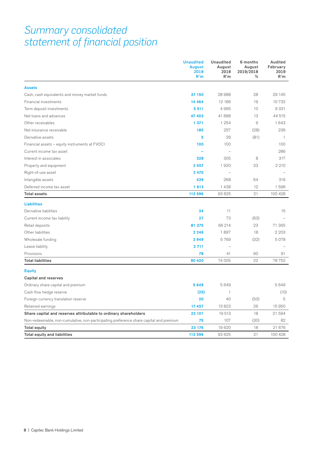## *Summary consolidated statement of financial position*

|                                                                                        | <b>Unaudited</b><br><b>August</b><br>2019<br>R'm | <b>Unaudited</b><br>August<br>2018<br>R'm | 6 months<br>August<br>2019/2018<br>% | Audited<br>February<br>2019<br>R'm |
|----------------------------------------------------------------------------------------|--------------------------------------------------|-------------------------------------------|--------------------------------------|------------------------------------|
| <b>Assets</b>                                                                          |                                                  |                                           |                                      |                                    |
| Cash, cash equivalents and money market funds                                          | 37 150                                           | 28988                                     | 28                                   | 29 145                             |
| Financial investments                                                                  | 14 4 64                                          | 12 18 6                                   | 19                                   | 10732                              |
| Term deposit investments                                                               | 5 5 1 1                                          | 4995                                      | 10                                   | 9 3 3 1                            |
| Net loans and advances                                                                 | 47 403                                           | 41 888                                    | 13                                   | 44 515                             |
| Other receivables                                                                      | 1 3 7 1                                          | 1 254                                     | 9                                    | 1643                               |
| Net insurance receivable                                                               | 185                                              | 257                                       | (28)                                 | 236                                |
| Derivative assets                                                                      | 5                                                | 26                                        | (81)                                 | $\mathbf{1}$                       |
| Financial assets - equity instruments at FVOCI                                         | 100                                              | 100                                       |                                      | 100                                |
| Current income tax asset                                                               |                                                  | $\overline{\phantom{a}}$                  |                                      | 286                                |
| Interest in associates                                                                 | 328                                              | 305                                       | 8                                    | 317                                |
| Property and equipment                                                                 | 2 5 5 7                                          | 1920                                      | 33                                   | 2 2 1 0                            |
| Right-of-use asset                                                                     | 2 4 7 0                                          |                                           |                                      |                                    |
| Intangible assets                                                                      | 439                                              | 268                                       | 64                                   | 316                                |
| Deferred income tax asset                                                              | 1613                                             | 1 4 3 8                                   | 12                                   | 1596                               |
| <b>Total assets</b>                                                                    | 113 596                                          | 93 625                                    | 21                                   | 100 428                            |
| <b>Liabilities</b>                                                                     |                                                  |                                           |                                      |                                    |
| Derivative liabilities                                                                 | 34                                               | 11                                        |                                      | 15                                 |
| Current income tax liability                                                           | 27                                               | 73                                        | (63)                                 |                                    |
| Retail deposits                                                                        | 81 375                                           | 66 214                                    | 23                                   | 71 365                             |
| Other liabilities                                                                      | 2 2 4 6                                          | 1897                                      | 18                                   | 2 2 0 3                            |
| Wholesale funding                                                                      | 3949                                             | 5769                                      | (32)                                 | 5078                               |
| Lease liability                                                                        | 2 7 1 1                                          |                                           |                                      |                                    |
| Provisions                                                                             | 78                                               | 41                                        | 90                                   | 91                                 |
| <b>Total liabilities</b>                                                               | 90 4 20                                          | 74 005                                    | 22                                   | 78752                              |
| <b>Equity</b>                                                                          |                                                  |                                           |                                      |                                    |
| <b>Capital and reserves</b>                                                            |                                                  |                                           |                                      |                                    |
| Ordinary share capital and premium                                                     | 5649                                             | 5649                                      |                                      | 5649                               |
| Cash flow hedge reserve                                                                | (25)                                             | $\mathbf{1}$                              |                                      | (10)                               |
| Foreign currency translation reserve                                                   | 20                                               | 40                                        | (50)                                 | 5                                  |
| Retained earnings                                                                      | 17 457                                           | 13823                                     | 26                                   | 15 950                             |
| Share capital and reserves attributable to ordinary shareholders                       | 23 101                                           | 19513                                     | 18                                   | 21 594                             |
| Non-redeemable, non-cumulative, non-participating preference share capital and premium | 75                                               | 107                                       | (30)                                 | 82                                 |
| <b>Total equity</b>                                                                    | 23 176                                           | 19 6 20                                   | 18                                   | 21 676                             |
| <b>Total equity and liabilities</b>                                                    | 113 596                                          | 93 625                                    | 21                                   | 100 428                            |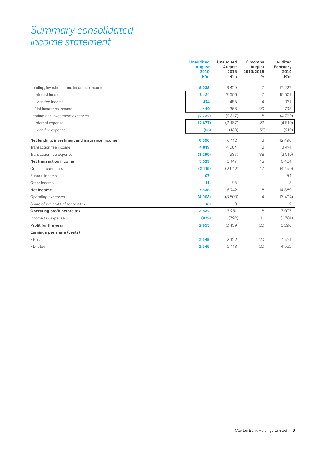### *Summary consolidated income statement*

|                                              | <b>Unaudited</b><br><b>August</b><br>2019<br>R'm | <b>Unaudited</b><br>August<br>2018<br>R'm | 6 months<br>August<br>2019/2018<br>% | Audited<br>February<br>2019<br>R'm |
|----------------------------------------------|--------------------------------------------------|-------------------------------------------|--------------------------------------|------------------------------------|
| Lending, investment and insurance income     | 9038                                             | 8 4 2 9                                   | 7                                    | 17 227                             |
| Interest income                              | 8 1 2 4                                          | 7606                                      | 7                                    | 15 501                             |
| Loan fee income                              | 474                                              | 455                                       | $\overline{4}$                       | 931                                |
| Net insurance income                         | 440                                              | 368                                       | 20                                   | 795                                |
| Lending and investment expenses              | (2732)                                           | (2317)                                    | 18                                   | (4729)                             |
| Interest expense                             | (2677)                                           | (2187)                                    | 22                                   | (4510)                             |
| Loan fee expense                             | (55)                                             | (130)                                     | (58)                                 | (219)                              |
| Net lending, investment and insurance income | 6 3 0 6                                          | 6 112                                     | 3                                    | 12 4 9 8                           |
| Transaction fee income                       | 4819                                             | 4084                                      | 18                                   | 8 4 7 4                            |
| Transaction fee expense                      | (1290)                                           | (937)                                     | 38                                   | (2010)                             |
| Net transaction income                       | 3529                                             | 3 1 4 7                                   | 12                                   | 6464                               |
| Credit impairments                           | (2115)                                           | (2542)                                    | (17)                                 | (4450)                             |
| Funeral income                               | 107                                              |                                           |                                      | 54                                 |
| Other income                                 | 11                                               | 25                                        |                                      | 3                                  |
| Net income                                   | 7838                                             | 6742                                      | 16                                   | 14 5 69                            |
| Operating expenses                           | (4003)                                           | (3500)                                    | 14                                   | (7494)                             |
| Share of net profit of associates            | (3)                                              | 9                                         |                                      | $\mathfrak{D}$                     |
| Operating profit before tax                  | 3832                                             | 3 2 5 1                                   | 18                                   | 7077                               |
| Income tax expense                           | (879)                                            | (792)                                     | 11                                   | (1781)                             |
| Profit for the year                          | 2953                                             | 2459                                      | 20                                   | 5 2 9 6                            |
| Earnings per share (cents)                   |                                                  |                                           |                                      |                                    |
| • Basic                                      | 2549                                             | 2 1 2 2                                   | 20                                   | 4571                               |
| · Diluted                                    | 2545                                             | 2 1 1 8                                   | 20                                   | 4562                               |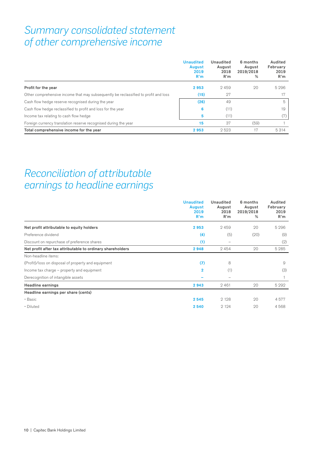### *Summary consolidated statement of other comprehensive income*

|                                                                                     | <b>Unaudited</b><br><b>August</b><br>2019<br>R'm | Unaudited<br>August<br>2018<br>R'm | 6 months<br>August<br>2019/2018<br>% | Audited<br>February<br>2019<br>R'm |
|-------------------------------------------------------------------------------------|--------------------------------------------------|------------------------------------|--------------------------------------|------------------------------------|
| Profit for the year                                                                 | 2953                                             | 2459                               | 20                                   | 5296                               |
| Other comprehensive income that may subsequently be reclassified to profit and loss | (15)                                             | 27                                 |                                      |                                    |
| Cash flow hedge reserve recognised during the year                                  | (26)                                             | 49                                 |                                      | 5                                  |
| Cash flow hedge reclassified to profit and loss for the year                        | 6                                                | (11)                               |                                      | 19                                 |
| Income tax relating to cash flow hedge                                              | 5                                                | (11)                               |                                      | (7)                                |
| Foreign currency translation reserve recognised during the year                     | 15                                               | 37                                 | (59)                                 |                                    |
| Total comprehensive income for the year                                             | 2953                                             | 2523                               | 17                                   | 5314                               |

# *Reconciliation of attributable earnings to headline earnings*

|                                                            | <b>Unaudited</b><br><b>August</b><br>2019<br>R'm | Unaudited<br>August<br>2018<br>R'm | 6 months<br>August<br>2019/2018<br>% | Audited<br>February<br>2019<br>R'm |
|------------------------------------------------------------|--------------------------------------------------|------------------------------------|--------------------------------------|------------------------------------|
| Net profit attributable to equity holders                  | 2953                                             | 2459                               | 20                                   | 5 2 9 6                            |
| Preference dividend                                        | (4)                                              | (5)                                | (20)                                 | (9)                                |
| Discount on repurchase of preference shares                | (1)                                              | -                                  |                                      | (2)                                |
| Net profit after tax attributable to ordinary shareholders | 2948                                             | 2454                               | 20                                   | 5 2 8 5                            |
| Non-headline items:                                        |                                                  |                                    |                                      |                                    |
| (Profit)/loss on disposal of property and equipment        | (7)                                              | 8                                  |                                      | 9                                  |
| Income tax charge – property and equipment                 | $\overline{2}$                                   | (1)                                |                                      | (3)                                |
| Derecognition of intangible assets                         |                                                  | $\overline{\phantom{0}}$           |                                      |                                    |
| Headline earnings                                          | 2943                                             | 2461                               | 20                                   | 5 2 9 2                            |
| Headline earnings per share (cents)                        |                                                  |                                    |                                      |                                    |
| • Basic                                                    | 2545                                             | 2 1 2 8                            | 20                                   | 4577                               |
| • Diluted                                                  | 2540                                             | 2 1 2 4                            | 20                                   | 4568                               |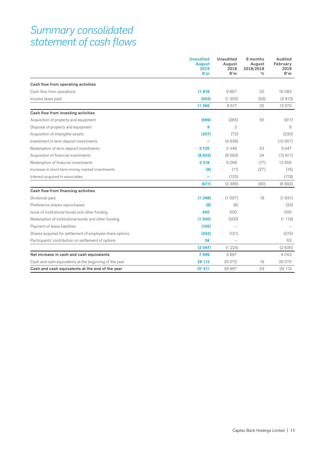### *Summary consolidated statement of cash flows*

|                                                          | <b>Unaudited</b><br><b>August</b><br>2019<br>R'm | <b>Unaudited</b><br>August<br>2018<br>R'm | 6 months<br>August<br>2019/2018<br>% | Audited<br>February<br>2019<br>R'm |
|----------------------------------------------------------|--------------------------------------------------|-------------------------------------------|--------------------------------------|------------------------------------|
| Cash flow from operating activities                      |                                                  |                                           |                                      |                                    |
| Cash flow from operations                                | 11818                                            | 9867                                      | 20                                   | 16 383                             |
| Income taxes paid                                        | (552)                                            | (1350)                                    | (59)                                 | (2813)                             |
|                                                          | 11 266                                           | 8517                                      | 32                                   | 13 570                             |
| Cash flow from investing activities                      |                                                  |                                           |                                      |                                    |
| Acquisition of property and equipment                    | (596)                                            | (385)                                     | 55                                   | (911)                              |
| Disposal of property and equipment                       | 9                                                | $\overline{2}$                            |                                      | 9                                  |
| Acquisition of intangible assets                         | (207)                                            | (72)                                      |                                      | (230)                              |
| Investment in term deposit investments                   |                                                  | (4936)                                    |                                      | (10557)                            |
| Redemption of term deposit investments                   | 3735                                             | 2446                                      | 53                                   | 3947                               |
| Acquisition of financial investments                     | (8822)                                           | (6583)                                    | 34                                   | (12611)                            |
| Redemption of financial investments                      | 5 2 1 8                                          | 6268                                      | (17)                                 | 13 655                             |
| Increase in short-term money market investments          | (8)                                              | (11)                                      | (27)                                 | (15)                               |
| Interest acquired in associates                          |                                                  | (125)                                     |                                      | (179)                              |
|                                                          | (671)                                            | (3396)                                    | (80)                                 | (6892)                             |
| Cash flow from financing activities                      |                                                  |                                           |                                      |                                    |
| Dividends paid                                           | (1298)                                           | (1097)                                    | 18                                   | (1831)                             |
| Preference shares repurchased                            | (8)                                              | (6)                                       |                                      | (33)                               |
| Issue of institutional bonds and other funding           | 500                                              | 500                                       |                                      | 500                                |
| Redemption of institutional bonds and other funding      | (1500)                                           | (500)                                     |                                      | (1119)                             |
| Payment of lease liabilities                             | (105)                                            |                                           |                                      |                                    |
| Shares acquired for settlement of employee share options | (242)                                            | (121)                                     |                                      | (215)                              |
| Participants' contribution on settlement of options      | 56                                               |                                           |                                      | 63                                 |
|                                                          | (2597)                                           | (1224)                                    |                                      | (2635)                             |
| Net increase in cash and cash equivalents                | 7998                                             | 3897                                      |                                      | 4043                               |
| Cash and cash equivalents at the beginning of the year   | 29 113                                           | 25 0 70                                   | 16                                   | 25 070                             |
| Cash and cash equivalents at the end of the year         | 37 311                                           | 28 967                                    | 29                                   | 29 113                             |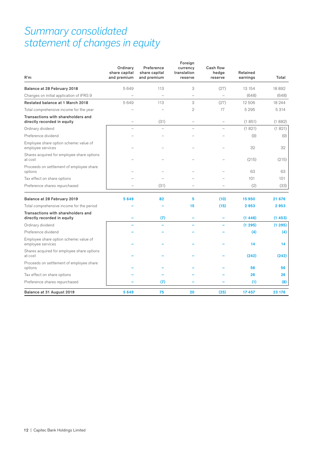# *Summary consolidated statement of changes in equity*

| R'm                                                               | Ordinary<br>share capital<br>and premium | Preference<br>share capital<br>and premium | Foreign<br>currency<br>translation<br>reserve | <b>Cash flow</b><br>hedge<br>reserve | Retained<br>earnings | Total  |
|-------------------------------------------------------------------|------------------------------------------|--------------------------------------------|-----------------------------------------------|--------------------------------------|----------------------|--------|
| Balance at 28 February 2018                                       | 5649                                     | 113                                        | 3                                             | (27)                                 | 13 154               | 18892  |
| Changes on initial application of IFRS 9                          |                                          | $\overline{\phantom{0}}$                   | $\qquad \qquad -$                             | $\overline{\phantom{0}}$             | (648)                | (648)  |
| Restated balance at 1 March 2018                                  | 5649                                     | 113                                        | 3                                             | (27)                                 | 12506                | 18 244 |
| Total comprehensive income for the year                           |                                          |                                            | $\overline{2}$                                | 17                                   | 5 2 9 5              | 5314   |
| Transactions with shareholders and<br>directly recorded in equity | L.                                       | (31)                                       | $\overline{\phantom{a}}$                      | $\overline{\phantom{0}}$             | (1851)               | (1882) |
| Ordinary dividend                                                 |                                          |                                            |                                               |                                      | (1821)               | (1821) |
| Preference dividend                                               |                                          |                                            |                                               |                                      | (9)                  | (9)    |
| Employee share option scheme: value of<br>employee services       |                                          |                                            |                                               |                                      | 32                   | 32     |
| Shares acquired for employee share options<br>at cost             |                                          |                                            |                                               |                                      | (215)                | (215)  |
| Proceeds on settlement of employee share<br>options               |                                          |                                            |                                               |                                      | 63                   | 63     |
| Tax effect on share options                                       |                                          |                                            |                                               |                                      | 101                  | 101    |
| Preference shares repurchased                                     |                                          | (31)                                       |                                               |                                      | (2)                  | (33)   |
| Balance at 28 February 2019                                       | 5649                                     | 82                                         | 5                                             | (10)                                 | 15950                | 21 676 |
| Total comprehensive income for the period                         |                                          |                                            | 15                                            | (15)                                 | 2953                 | 2953   |
| Transactions with shareholders and<br>directly recorded in equity |                                          | (7)                                        |                                               |                                      | (1446)               | (1453) |
| Ordinary dividend                                                 |                                          |                                            |                                               |                                      | (1295)               | (1295) |
| Preference dividend                                               |                                          |                                            |                                               |                                      | (4)                  | (4)    |
| Employee share option scheme: value of<br>employee services       |                                          |                                            |                                               |                                      | 14                   | 14     |
| Shares acquired for employee share options<br>at cost             |                                          |                                            |                                               |                                      | (242)                | (242)  |
| Proceeds on settlement of employee share<br>options               |                                          |                                            |                                               |                                      | 56                   | 56     |
| Tax effect on share options                                       |                                          |                                            |                                               |                                      | 26                   | 26     |
| Preference shares repurchased                                     |                                          | (7)                                        |                                               |                                      | (1)                  | (8)    |
| Balance at 31 August 2019                                         | 5649                                     | 75                                         | 20                                            | (25)                                 | 17 457               | 23 176 |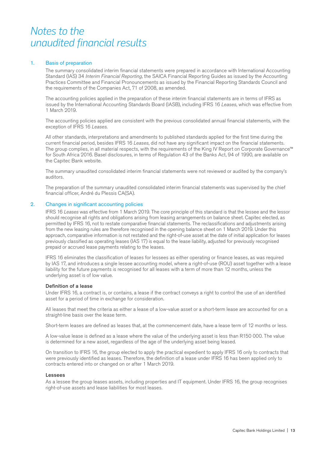## *Notes to the unaudited financial results*

#### 1. Basis of preparation

The summary consolidated interim financial statements were prepared in accordance with International Accounting Standard (IAS) 34 *Interim Financial Reporting*, the SAICA Financial Reporting Guides as issued by the Accounting Practices Committee and Financial Pronouncements as issued by the Financial Reporting Standards Council and the requirements of the Companies Act, 71 of 2008, as amended.

The accounting policies applied in the preparation of these interim financial statements are in terms of IFRS as issued by the International Accounting Standards Board (IASB), including IFRS 16 *Leases*, which was effective from 1 March 2019.

The accounting policies applied are consistent with the previous consolidated annual financial statements, with the exception of IFRS 16 *Leases*.

All other standards, interpretations and amendments to published standards applied for the first time during the current financial period, besides IFRS 16 *Leases*, did not have any significant impact on the financial statements. The group complies, in all material respects, with the requirements of the King IV Report on Corporate Governance™ for South Africa 2016. Basel disclosures, in terms of Regulation 43 of the Banks Act, 94 of 1990, are available on the Capitec Bank website.

The summary unaudited consolidated interim financial statements were not reviewed or audited by the company's auditors.

The preparation of the summary unaudited consolidated interim financial statements was supervised by the chief financial officer, André du Plessis CA(SA).

#### 2. Changes in significant accounting policies

IFRS 16 *Leases* was effective from 1 March 2019. The core principle of this standard is that the lessee and the lessor should recognise all rights and obligations arising from leasing arrangements on balance sheet. Capitec elected, as permitted by IFRS 16, not to restate comparative financial statements. The reclassifications and adjustments arising from the new leasing rules are therefore recognised in the opening balance sheet on 1 March 2019. Under this approach, comparative information is not restated and the right-of-use asset at the date of initial application for leases previously classified as operating leases (IAS 17) is equal to the lease liability, adjusted for previously recognised prepaid or accrued lease payments relating to the leases.

IFRS 16 eliminates the classification of leases for lessees as either operating or finance leases, as was required by IAS 17, and introduces a single lessee accounting model, where a right-of-use (ROU) asset together with a lease liability for the future payments is recognised for all leases with a term of more than 12 months, unless the underlying asset is of low value.

#### Definition of a lease

Under IFRS 16, a contract is, or contains, a lease if the contract conveys a right to control the use of an identified asset for a period of time in exchange for consideration.

All leases that meet the criteria as either a lease of a low-value asset or a short-term lease are accounted for on a straight-line basis over the lease term.

Short-term leases are defined as leases that, at the commencement date, have a lease term of 12 months or less.

A low-value lease is defined as a lease where the value of the underlying asset is less than R150 000. The value is determined for a new asset, regardless of the age of the underlying asset being leased.

On transition to IFRS 16, the group elected to apply the practical expedient to apply IFRS 16 only to contracts that were previously identified as leases. Therefore, the definition of a lease under IFRS 16 has been applied only to contracts entered into or changed on or after 1 March 2019.

#### **Lessees**

As a lessee the group leases assets, including properties and IT equipment. Under IFRS 16, the group recognises right-of-use assets and lease liabilities for most leases.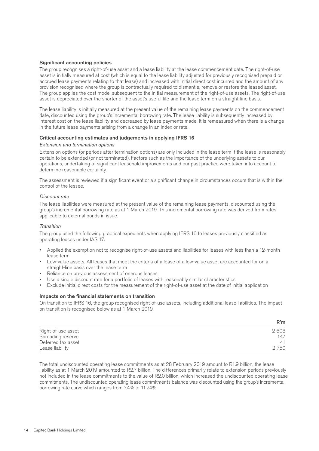#### Significant accounting policies

The group recognises a right-of-use asset and a lease liability at the lease commencement date. The right-of-use asset is initially measured at cost (which is equal to the lease liability adjusted for previously recognised prepaid or accrued lease payments relating to that lease) and increased with initial direct cost incurred and the amount of any provision recognised where the group is contractually required to dismantle, remove or restore the leased asset. The group applies the cost model subsequent to the initial measurement of the right-of-use assets. The right-of-use asset is depreciated over the shorter of the asset's useful life and the lease term on a straight-line basis.

The lease liability is initially measured at the present value of the remaining lease payments on the commencement date, discounted using the group's incremental borrowing rate. The lease liability is subsequently increased by interest cost on the lease liability and decreased by lease payments made. It is remeasured when there is a change in the future lease payments arising from a change in an index or rate.

#### Critical accounting estimates and judgements in applying IFRS 16

#### *Extension and termination options*

Extension options (or periods after termination options) are only included in the lease term if the lease is reasonably certain to be extended (or not terminated). Factors such as the importance of the underlying assets to our operations, undertaking of significant leasehold improvements and our past practice were taken into account to determine reasonable certainty.

The assessment is reviewed if a significant event or a significant change in circumstances occurs that is within the control of the lessee.

#### *Discount rate*

The lease liabilities were measured at the present value of the remaining lease payments, discounted using the group's incremental borrowing rate as at 1 March 2019. This incremental borrowing rate was derived from rates applicable to external bonds in issue.

#### *Transition*

The group used the following practical expedients when applying IFRS 16 to leases previously classified as operating leases under IAS 17:

- Applied the exemption not to recognise right-of-use assets and liabilities for leases with less than a 12-month lease term
- Low-value assets. All leases that meet the criteria of a lease of a low-value asset are accounted for on a straight-line basis over the lease term
- Reliance on previous assessment of onerous leases
- Use a single discount rate for a portfolio of leases with reasonably similar characteristics
- Exclude initial direct costs for the measurement of the right-of-use asset at the date of initial application

#### Impacts on the financial statements on transition

On transition to IFRS 16, the group recognised right-of-use assets, including additional lease liabilities. The impact on transition is recognised below as at 1 March 2019.

|                    | R'm  |
|--------------------|------|
| Right-of-use asset | 2603 |
| Spreading reserve  | 147  |
| Deferred tax asset |      |
| Lease liability    | 2750 |

The total undiscounted operating lease commitments as at 28 February 2019 amount to R1.9 billion, the lease liability as at 1 March 2019 amounted to R2.7 billion. The differences primarily relate to extension periods previously not included in the lease commitments to the value of R2.0 billion, which increased the undiscounted operating lease commitments. The undiscounted operating lease commitments balance was discounted using the group's incremental borrowing rate curve which ranges from 7.4% to 11.24%.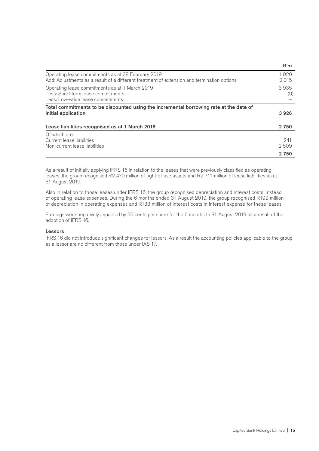|                                                                                                                                                  | R'm          |
|--------------------------------------------------------------------------------------------------------------------------------------------------|--------------|
| Operating lease commitments as at 28 February 2019<br>Add: Adjustments as a result of a different treatment of extension and termination options | 1920<br>2015 |
| Operating lease commitments as at 1 March 2019<br>Less: Short-term lease commitments<br>Less: Low-value lease commitments                        | 3935<br>(9)  |
| Total commitments to be discounted using the incremental borrowing rate at the date of<br>initial application                                    | 3926         |
| Lease liabilities recognised as at 1 March 2019                                                                                                  | 2 7 5 0      |
| Of which are:<br>Current lease liabilities<br>Non-current lease liabilities                                                                      | 241<br>2509  |
|                                                                                                                                                  | 2 750        |

As a result of initially applying IFRS 16 in relation to the leases that were previously classified as operating leases, the group recognised R2 470 million of right-of-use assets and R2 711 million of lease liabilities as at 31 August 2019.

Also in relation to those leases under IFRS 16, the group recognised depreciation and interest costs, instead of operating lease expenses. During the 6 months ended 31 August 2019, the group recognised R199 million of depreciation in operating expenses and R133 million of interest costs in interest expense for these leases.

Earnings were negatively impacted by 50 cents per share for the 6 months to 31 August 2019 as a result of the adoption of IFRS 16.

#### Lessors

IFRS 16 did not introduce significant changes for lessors. As a result the accounting policies applicable to the group as a lessor are no different from those under IAS 17.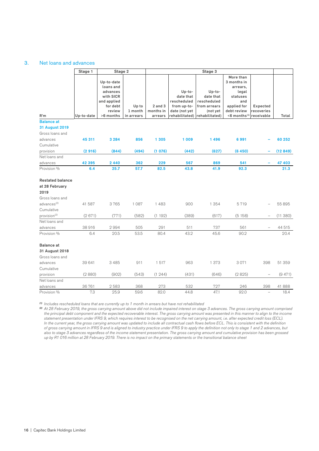#### 3. Net loans and advances

|                          | Stage 1    | Stage 2                                          |                       | Stage 3              |                                 |                            |                                                           |                          |         |
|--------------------------|------------|--------------------------------------------------|-----------------------|----------------------|---------------------------------|----------------------------|-----------------------------------------------------------|--------------------------|---------|
|                          |            | Up-to-date<br>loans and<br>advances<br>with SICR |                       |                      | Up-to-<br>date that             | Up-to-<br>date that        | More than<br>3 months in<br>arrears,<br>legal<br>statuses |                          |         |
|                          |            | and applied                                      |                       |                      | rescheduled                     | rescheduled                | and                                                       |                          |         |
|                          |            | for debt                                         | Up to                 | $2$ and $3$          | from up-to-                     | from arrears               | applied for                                               | Expected                 |         |
| R'm                      | Up-to-date | review<br>>6 months                              | 1 month<br>in arrears | months in<br>arrears | date (not yet<br>rehabilitated) | (not yet<br>rehabilitated) | debt review<br>$<$ 6 months $^{(1)}$                      | recoveries<br>receivable | Total   |
| <b>Balance at</b>        |            |                                                  |                       |                      |                                 |                            |                                                           |                          |         |
| <b>31 August 2019</b>    |            |                                                  |                       |                      |                                 |                            |                                                           |                          |         |
| Gross loans and          |            |                                                  |                       |                      |                                 |                            |                                                           |                          |         |
| advances                 | 45 311     | 3 2 8 4                                          | 856                   | 1 3 0 5              | 1 0 0 9                         | 1496                       | 6991                                                      |                          | 60 252  |
| Cumulative               |            |                                                  |                       |                      |                                 |                            |                                                           |                          |         |
| provision                | (2916)     | (844)                                            | (494)                 | (1076)               | (442)                           | (627)                      | (6450)                                                    |                          | (12849) |
| Net loans and            |            |                                                  |                       |                      |                                 |                            |                                                           |                          |         |
| advances                 | 42 395     | 2 4 4 0                                          | 362                   | 229                  | 567                             | 869                        | 541                                                       |                          | 47 403  |
| Provision %              | 6.4        | 25.7                                             | 57.7                  | 82.5                 | 43.8                            | 41.9                       | 92.3                                                      |                          | 21.3    |
| <b>Restated balance</b>  |            |                                                  |                       |                      |                                 |                            |                                                           |                          |         |
| at 28 February           |            |                                                  |                       |                      |                                 |                            |                                                           |                          |         |
| 2019                     |            |                                                  |                       |                      |                                 |                            |                                                           |                          |         |
| Gross loans and          |            |                                                  |                       |                      |                                 |                            |                                                           |                          |         |
| advances <sup>(2)</sup>  | 41 587     | 3765                                             | 1 0 8 7               | 1483                 | 900                             | 1 3 5 4                    | 5719                                                      |                          | 55 895  |
| Cumulative               |            |                                                  |                       |                      |                                 |                            |                                                           |                          |         |
| provision <sup>(2)</sup> | (2671)     | (771)                                            | (582)                 | (1192)               | (389)                           | (617)                      | (5158)                                                    |                          | (11380) |
| Net loans and            |            |                                                  |                       |                      |                                 |                            |                                                           |                          |         |
| advances                 | 38916      | 2994                                             | 505                   | 291                  | 511                             | 737                        | 561                                                       |                          | 44 515  |
| Provision %              | 6.4        | 20.5                                             | 53.5                  | 80.4                 | 43.2                            | 45.6                       | 90.2                                                      |                          | 20.4    |
| <b>Balance</b> at        |            |                                                  |                       |                      |                                 |                            |                                                           |                          |         |
| 31 August 2018           |            |                                                  |                       |                      |                                 |                            |                                                           |                          |         |
| Gross loans and          |            |                                                  |                       |                      |                                 |                            |                                                           |                          |         |
| advances                 | 39 641     | 3 4 8 5                                          | 911                   | 1517                 | 963                             | 1 3 7 3                    | 3071                                                      | 398                      | 51 359  |
| Cumulative               |            |                                                  |                       |                      |                                 |                            |                                                           |                          |         |
| provision                | (2880)     | (902)                                            | (543)                 | (1244)               | (431)                           | (646)                      | (2825)                                                    |                          | (9471)  |
| Net loans and            |            |                                                  |                       |                      |                                 |                            |                                                           |                          |         |
| advances                 | 36 761     | 2583                                             | 368<br>59.6           | 273                  | 532<br>44.8                     | 727<br>47.1                | 246                                                       | 398<br>$\equiv$          | 41 888  |
| Provision %              | 7.3        | 25.9                                             |                       | 82.0                 |                                 |                            | 92.0                                                      |                          | 18.4    |

*(1) Includes rescheduled loans that are currently up to 1 month in arrears but have not rehabilitated*

<sup>(2)</sup> At 28 February 2019, the gross carrying amount above did not include impaired interest on stage 3 advances. The gross carrying amount comprised the principal debt component and the expected recoverable interest. The gross carrying amount was presented in this manner to align to the income *statement presentation under IFRS 9, which requires interest to be recognised on the net carrying amount, i.e. after expected credit loss (ECL). In the current year, the gross carrying amount was updated to include all contractual cash flows before ECL. This is consistent with the definition of gross carrying amount in IFRS 9 and is aligned to industry practice under IFRS 9 to apply the definition not only to stage 1 and 2 advances, but also to stage 3 advances regardless of the income statement presentation. The gross carrying amount and cumulative provision has been grossed up by R1 016 million at 28 February 2019. There is no impact on the primary statements or the transitional balance sheet*